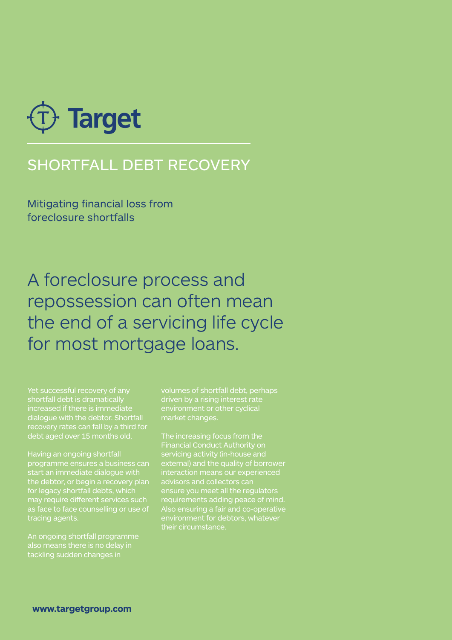

# SHORTFALL DEBT RECOVERY

Mitigating financial loss from foreclosure shortfalls

A foreclosure process and repossession can often mean the end of a servicing life cycle for most mortgage loans.

Yet successful recovery of any shortfall debt is dramatically dialogue with the debtor. Shortfall debt aged over 15 months old.

Having an ongoing shortfall programme ensures a business can start an immediate dialogue with  $e$  debtor, or begin a recovery plan for legacy shortfall debts, which may require different services such as face to face counselling or use of tracing agents.

An ongoing shortfall programme tackling sudden changes in

volumes of shortfall debt, perhaps driven by a rising interest rate market changes.

The increasing focus from the Financial Conduct Authority on servicing activity (in-house and external) and the quality of borrower interaction means our experienced craction means can<br>visors and collectors can ensure you meet all the regulators requirements adding peace of mind. Also ensuring a fair and co-operative environment for debtors, whatever their circumstance.

**www.targetgroup.com**